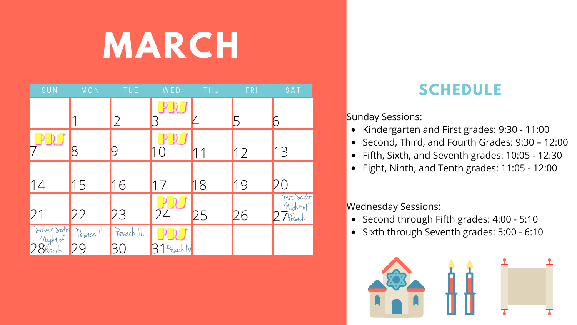## **MARCH**

• Kindergarten and First grades: 9:30 - 11:00 • Second, Third, and Fourth Grades: 9:30 – 12:00 Fifth, Sixth, and Seventh grades: 10:05 - 12:30 Eight, Ninth, and Tenth grades: 11:05 - 12:00

Sunday Sessions:

 $\bullet$ 

Wednesday Sessions:

• Second through Fifth grades: 4:00 - 5:10 • Sixth through Seventh grades: 5:00 - 6:10



| SUN                     | MON       | TUE <sup></sup> | WED        | THU       | FRI          | SAT                               |  |
|-------------------------|-----------|-----------------|------------|-----------|--------------|-----------------------------------|--|
|                         |           | $\overline{2}$  |            |           | $\mathsf{b}$ |                                   |  |
|                         |           |                 |            |           |              |                                   |  |
| $\mathbf{D}$            | 8         |                 | $\bigcirc$ | $\bigcap$ | 12           | 13                                |  |
|                         |           |                 |            |           |              |                                   |  |
| 14                      | 15        | 16              |            | 18        | 19           |                                   |  |
| 21                      | 22        | 23              | 24         | 25        | 26           | First Seder<br>Mightof<br>Presach |  |
| Second Seder<br>Mightof | Pesach 11 | Pesach III      |            |           |              |                                   |  |
| $28$ Pesach             |           |                 | Pesach IV  |           |              |                                   |  |

#### S CHEDULE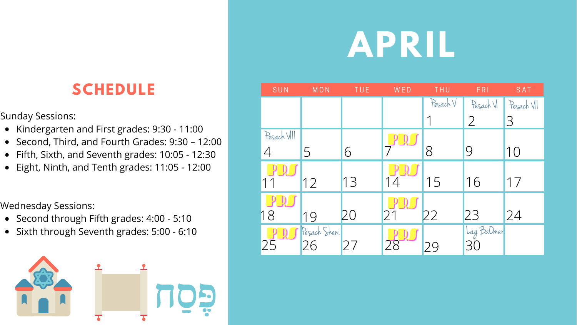# **APRIL**

- Kindergarten and First grades: 9:30 11:00
- Second, Third, and Fourth Grades: 9:30 12:00
- Fifth, Sixth, and Seventh grades: 10:05 12:30
- Eight, Ninth, and Tenth grades: 11:05 12:00

### SCHEDULE SUN MON

Sunday Sessions:

Wednesday Sessions:

- Second through Fifth grades: 4:00 5:10
- Sixth through Seventh grades: 5:00 6:10



| SUN            | MON                | TUE | WED           | THU     | <b>FRI</b>       | SAT        |
|----------------|--------------------|-----|---------------|---------|------------------|------------|
|                |                    |     |               | PesachV | Pesach VI        | Pesach VII |
|                |                    |     |               |         | $\overline{2}$   | 3          |
| Pesach VIII    |                    |     |               |         |                  |            |
| $\overline{4}$ | 5                  | 6   |               | 8       | 9                | 10         |
|                |                    |     |               |         |                  |            |
| 11             | 12                 | 13  | 14            | 15      | 16               | 17         |
|                |                    |     |               |         |                  |            |
| 18             | 19                 | ZÜ  | 21            | 22      | 23               | 24         |
|                | Pesach Sheni<br>26 |     |               |         | Lag BaDmer<br>30 |            |
| 25             |                    | 27  | $\mathcal{R}$ | 29      |                  |            |